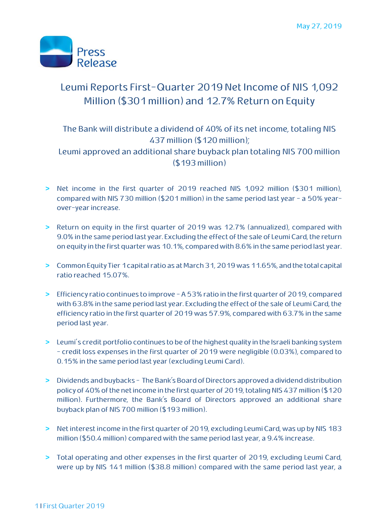

# Leumi Reports First-Quarter 2019 Net Income of NIS 1,092 Million (\$301 million) and 12.7% Return on Equity

# The Bank will distribute a dividend of 40% of its net income, totaling NIS 437 million (\$120 million);

Leumi approved an additional share buyback plan totaling NIS 700 million (\$193 million)

- **>** Net income in the first quarter of 2019 reached NIS 1,092 million (\$301 million), compared with NIS 730 million (\$201 million) in the same period last year - a 50% yearover-year increase.
- **>** Return on equity in the first quarter of 2019 was 12.7% (annualized), compared with 9.0% in the same period last year. Excluding the effect of the sale of Leumi Card, the return on equity in the first quarter was 10.1%, compared with 8.6% in the same period last year.
- **>** Common Equity Tier 1 capital ratioas at March 31, 2019 was 11.65%, and the total capital ratio reached 15.07%.
- **>** Efficiency ratio continues to improve A 53% ratio in the first quarter of 2019, compared with 63.8% in the same period last year. Excluding the effect of the sale of Leumi Card, the efficiency ratio in the first quarter of 2019 was 57.9%, compared with 63.7% in the same period last year.
- **>** Leumi's credit portfolio continues to be of the highest quality in the Israeli banking system - credit loss expenses in the first quarter of 2019 were negligible (0.03%), compared to 0.15% in the same period last year (excluding Leumi Card).
- **>** Dividends and buybacks The Bank's Board of Directors approved a dividend distribution policy of 40% of the net income in the first quarter of 2019, totaling NIS 437 million (\$120 million). Furthermore, the Bank's Board of Directors approved an additional share buyback plan of NIS 700 million (\$193 million).
- **>** Net interest income in the first quarter of 2019, excluding Leumi Card, was up by NIS 183 million (\$50.4 million) compared with the same period last year, a 9.4% increase.
- **>** Total operating and other expenses in the first quarter of 2019, excluding Leumi Card, were up by NIS 141 million (\$38.8 million) compared with the same period last year, a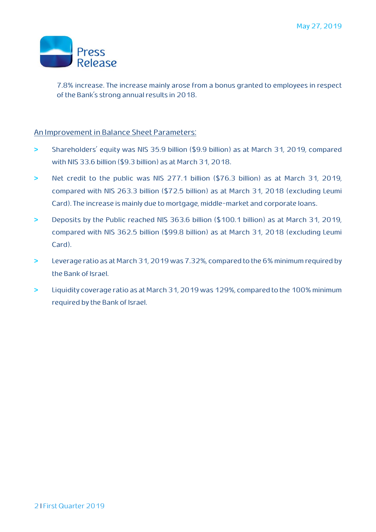

7.8% increase. The increase mainly arose from a bonus granted to employees in respect of the Bank's strong annual results in 2018.

#### An Improvement in Balance Sheet Parameters:

- **>** Shareholders' equity was NIS 35.9 billion (\$9.9 billion) as at March 31, 2019, compared with NIS 33.6 billion (\$9.3 billion) as at March 31, 2018.
- **>** Net credit to the public was NIS 277.1 billion (\$76.3 billion) as at March 31, 2019, compared with NIS 263.3 billion (\$72.5 billion) as at March 31, 2018 (excluding Leumi Card). The increase is mainly due to mortgage, middle-market and corporate loans.
- **>** Deposits by the Public reached NIS 363.6 billion (\$100.1 billion) as at March 31, 2019, compared with NIS 362.5 billion (\$99.8 billion) as at March 31, 2018 (excluding Leumi Card).
- **>** Leverage ratio as at March 31, 2019 was 7.32%, compared to the 6% minimum required by the Bank of Israel.
- **>** Liquidity coverage ratio as at March 31, 2019 was 129%, compared to the 100% minimum required by the Bank of Israel.